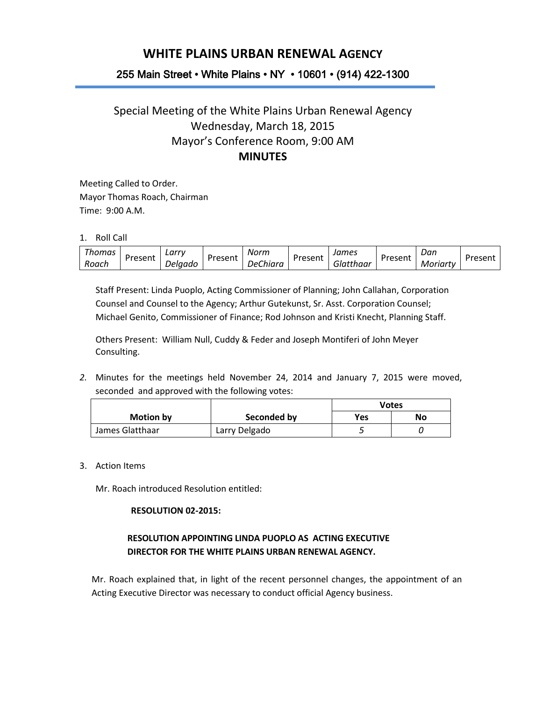# **WHITE PLAINS URBAN RENEWAL AGENCY**

## 255 Main Street • White Plains • NY • 10601 • (914) 422-1300

## Special Meeting of the White Plains Urban Renewal Agency Wednesday, March 18, 2015 Mayor's Conference Room, 9:00 AM **MINUTES**

Meeting Called to Order. Mayor Thomas Roach, Chairman Time: 9:00 A.M.

1. Roll Call

| homas | Present | Larr<br>ΤV |        | $\overline{\phantom{a}}$<br><i><b>NOTM</b></i> | Present | James    | Present | Dan                           | Uracar'<br>ᇰᆮ川 |
|-------|---------|------------|--------|------------------------------------------------|---------|----------|---------|-------------------------------|----------------|
| Roach |         | Jelaado    | resent | <i>Chiara</i><br>וסנ                           |         | latthaar |         | Moriarty<br>$^{\prime\prime}$ |                |

Staff Present: Linda Puoplo, Acting Commissioner of Planning; John Callahan, Corporation Counsel and Counsel to the Agency; Arthur Gutekunst, Sr. Asst. Corporation Counsel; Michael Genito, Commissioner of Finance; Rod Johnson and Kristi Knecht, Planning Staff.

Others Present: William Null, Cuddy & Feder and Joseph Montiferi of John Meyer Consulting.

*2.* Minutes for the meetings held November 24, 2014 and January 7, 2015 were moved, seconded and approved with the following votes:

|                  |               | Votes |    |
|------------------|---------------|-------|----|
| <b>Motion by</b> | Seconded by   | Yes   | No |
| James Glatthaar  | Larry Delgado |       |    |

3. Action Items

Mr. Roach introduced Resolution entitled:

#### **RESOLUTION 02-2015:**

### **RESOLUTION APPOINTING LINDA PUOPLO AS ACTING EXECUTIVE DIRECTOR FOR THE WHITE PLAINS URBAN RENEWAL AGENCY.**

Mr. Roach explained that, in light of the recent personnel changes, the appointment of an Acting Executive Director was necessary to conduct official Agency business.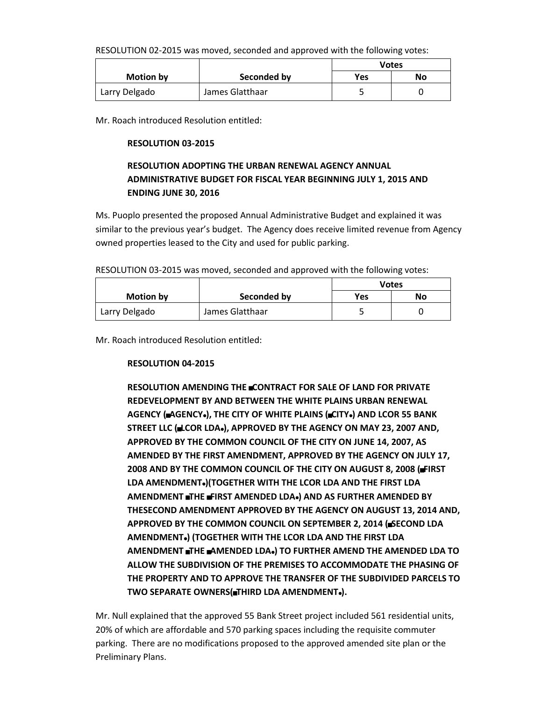RESOLUTION 02-2015 was moved, seconded and approved with the following votes:

|                  |                 | Votes |    |
|------------------|-----------------|-------|----|
| <b>Motion by</b> | Seconded by     | Yes   | No |
| Larry Delgado    | James Glatthaar |       |    |

Mr. Roach introduced Resolution entitled:

### **RESOLUTION 03-2015**

## **RESOLUTION ADOPTING THE URBAN RENEWAL AGENCY ANNUAL ADMINISTRATIVE BUDGET FOR FISCAL YEAR BEGINNING JULY 1, 2015 AND ENDING JUNE 30, 2016**

Ms. Puoplo presented the proposed Annual Administrative Budget and explained it was similar to the previous year's budget. The Agency does receive limited revenue from Agency owned properties leased to the City and used for public parking.

RESOLUTION 03-2015 was moved, seconded and approved with the following votes:

|                  |                 | <b>Votes</b> |  |
|------------------|-----------------|--------------|--|
| <b>Motion by</b> | Seconded by     | Yes<br>No    |  |
| Larry Delgado    | James Glatthaar |              |  |

Mr. Roach introduced Resolution entitled:

### **RESOLUTION 04-2015**

**RESOLUTION AMENDING THE CONTRACT FOR SALE OF LAND FOR PRIVATE REDEVELOPMENT BY AND BETWEEN THE WHITE PLAINS URBAN RENEWAL AGENCY (**A**AGENCY**@**), THE CITY OF WHITE PLAINS (**A**CITY**@**) AND LCOR 55 BANK STREET LLC (LCOR LDA.), APPROVED BY THE AGENCY ON MAY 23, 2007 AND, APPROVED BY THE COMMON COUNCIL OF THE CITY ON JUNE 14, 2007, AS AMENDED BY THE FIRST AMENDMENT, APPROVED BY THE AGENCY ON JULY 17, 2008 AND BY THE COMMON COUNCIL OF THE CITY ON AUGUST 8, 2008 (FIRST) LDA AMENDMENT**@**)(TOGETHER WITH THE LCOR LDA AND THE FIRST LDA AMENDMENT THE FIRST AMENDED LDA.** AND AS FURTHER AMENDED BY **THESECOND AMENDMENT APPROVED BY THE AGENCY ON AUGUST 13, 2014 AND,**  APPROVED BY THE COMMON COUNCIL ON SEPTEMBER 2, 2014 (**BSECOND LDA AMENDMENT**@**) (TOGETHER WITH THE LCOR LDA AND THE FIRST LDA AMENDMENT** A**THE** A**AMENDED LDA**@**) TO FURTHER AMEND THE AMENDED LDA TO ALLOW THE SUBDIVISION OF THE PREMISES TO ACCOMMODATE THE PHASING OF THE PROPERTY AND TO APPROVE THE TRANSFER OF THE SUBDIVIDED PARCELS TO TWO SEPARATE OWNERS(THIRD LDA AMENDMENT.).** 

Mr. Null explained that the approved 55 Bank Street project included 561 residential units, 20% of which are affordable and 570 parking spaces including the requisite commuter parking. There are no modifications proposed to the approved amended site plan or the Preliminary Plans.